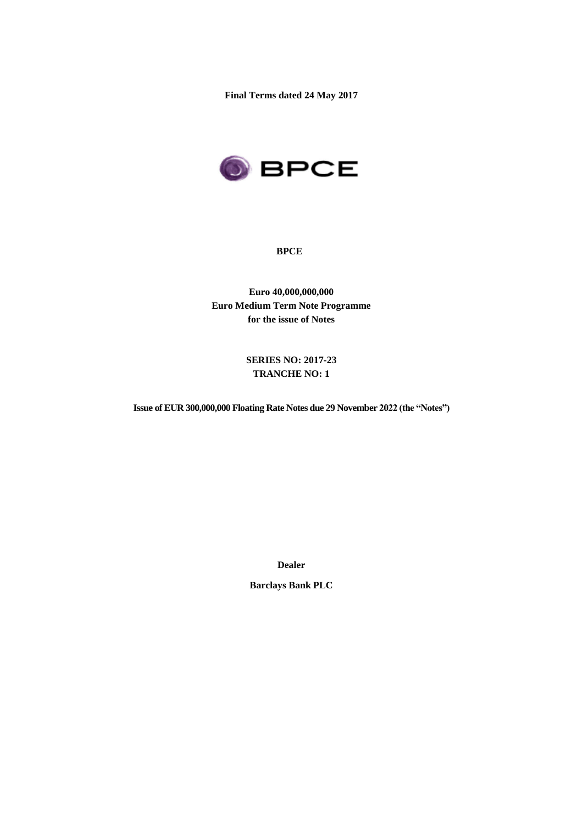**Final Terms dated 24 May 2017**



### **BPCE**

**Euro 40,000,000,000 Euro Medium Term Note Programme for the issue of Notes**

> **SERIES NO: 2017-23 TRANCHE NO: 1**

**Issue of EUR 300,000,000 Floating Rate Notes due 29 November 2022 (the "Notes")**

**Dealer**

**Barclays Bank PLC**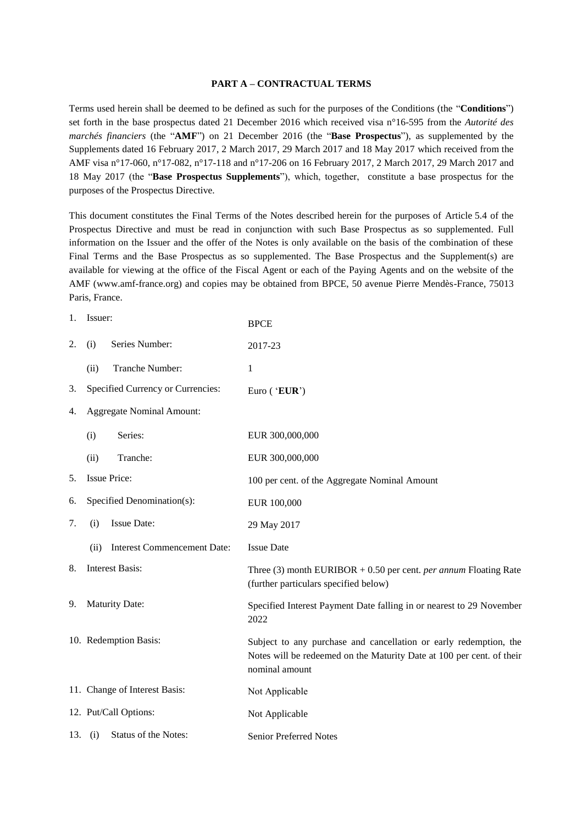### **PART A – CONTRACTUAL TERMS**

Terms used herein shall be deemed to be defined as such for the purposes of the Conditions (the "**Conditions**") set forth in the base prospectus dated 21 December 2016 which received visa n°16-595 from the *Autorité des marchés financiers* (the "**AMF**") on 21 December 2016 (the "**Base Prospectus**"), as supplemented by the Supplements dated 16 February 2017, 2 March 2017, 29 March 2017 and 18 May 2017 which received from the AMF visa n°17-060, n°17-082, n°17-118 and n°17-206 on 16 February 2017, 2 March 2017, 29 March 2017 and 18 May 2017 (the "**Base Prospectus Supplements**"), which, together, constitute a base prospectus for the purposes of the Prospectus Directive.

This document constitutes the Final Terms of the Notes described herein for the purposes of Article 5.4 of the Prospectus Directive and must be read in conjunction with such Base Prospectus as so supplemented. Full information on the Issuer and the offer of the Notes is only available on the basis of the combination of these Final Terms and the Base Prospectus as so supplemented. The Base Prospectus and the Supplement(s) are available for viewing at the office of the Fiscal Agent or each of the Paying Agents and on the website of the AMF (www.amf-france.org) and copies may be obtained from BPCE, 50 avenue Pierre Mendès-France, 75013 Paris, France.

| 1. | Issuer:                                    | <b>BPCE</b>                                                                                                                                                  |  |
|----|--------------------------------------------|--------------------------------------------------------------------------------------------------------------------------------------------------------------|--|
| 2. | Series Number:<br>(i)                      | 2017-23                                                                                                                                                      |  |
|    | Tranche Number:<br>(ii)                    | 1                                                                                                                                                            |  |
| 3. | Specified Currency or Currencies:          | Euro ('EUR')                                                                                                                                                 |  |
| 4. | <b>Aggregate Nominal Amount:</b>           |                                                                                                                                                              |  |
|    | Series:<br>(i)                             | EUR 300,000,000                                                                                                                                              |  |
|    | Tranche:<br>(ii)                           | EUR 300,000,000                                                                                                                                              |  |
| 5. | <b>Issue Price:</b>                        | 100 per cent. of the Aggregate Nominal Amount                                                                                                                |  |
| 6. | Specified Denomination(s):                 | EUR 100,000                                                                                                                                                  |  |
| 7. | <b>Issue Date:</b><br>(i)                  | 29 May 2017                                                                                                                                                  |  |
|    | <b>Interest Commencement Date:</b><br>(ii) | <b>Issue Date</b>                                                                                                                                            |  |
| 8. | <b>Interest Basis:</b>                     | Three (3) month EURIBOR $+ 0.50$ per cent. <i>per annum</i> Floating Rate<br>(further particulars specified below)                                           |  |
| 9. | <b>Maturity Date:</b>                      | Specified Interest Payment Date falling in or nearest to 29 November<br>2022                                                                                 |  |
|    | 10. Redemption Basis:                      | Subject to any purchase and cancellation or early redemption, the<br>Notes will be redeemed on the Maturity Date at 100 per cent. of their<br>nominal amount |  |
|    | 11. Change of Interest Basis:              | Not Applicable                                                                                                                                               |  |
|    | 12. Put/Call Options:                      | Not Applicable                                                                                                                                               |  |
|    | Status of the Notes:<br>13. $(i)$          | <b>Senior Preferred Notes</b>                                                                                                                                |  |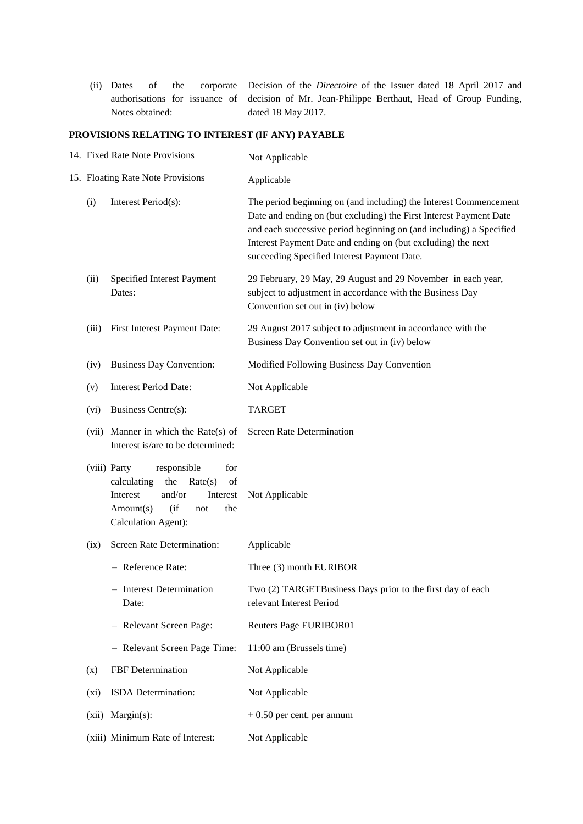(ii) Dates of the corporate authorisations for issuance of Notes obtained: Decision of the *Directoire* of the Issuer dated 18 April 2017 and decision of Mr. Jean-Philippe Berthaut, Head of Group Funding, dated 18 May 2017.

# **PROVISIONS RELATING TO INTEREST (IF ANY) PAYABLE**

| 14. Fixed Rate Note Provisions    |                                                                                                                                                                        | Not Applicable                                                                                                                                                                                                                                                                                                                |  |
|-----------------------------------|------------------------------------------------------------------------------------------------------------------------------------------------------------------------|-------------------------------------------------------------------------------------------------------------------------------------------------------------------------------------------------------------------------------------------------------------------------------------------------------------------------------|--|
| 15. Floating Rate Note Provisions |                                                                                                                                                                        | Applicable                                                                                                                                                                                                                                                                                                                    |  |
| (i)                               | Interest Period(s):                                                                                                                                                    | The period beginning on (and including) the Interest Commencement<br>Date and ending on (but excluding) the First Interest Payment Date<br>and each successive period beginning on (and including) a Specified<br>Interest Payment Date and ending on (but excluding) the next<br>succeeding Specified Interest Payment Date. |  |
| (ii)                              | Specified Interest Payment<br>Dates:                                                                                                                                   | 29 February, 29 May, 29 August and 29 November in each year,<br>subject to adjustment in accordance with the Business Day<br>Convention set out in (iv) below                                                                                                                                                                 |  |
| (iii)                             | First Interest Payment Date:                                                                                                                                           | 29 August 2017 subject to adjustment in accordance with the<br>Business Day Convention set out in (iv) below                                                                                                                                                                                                                  |  |
| (iv)                              | <b>Business Day Convention:</b>                                                                                                                                        | Modified Following Business Day Convention                                                                                                                                                                                                                                                                                    |  |
| (v)                               | <b>Interest Period Date:</b>                                                                                                                                           | Not Applicable                                                                                                                                                                                                                                                                                                                |  |
| (vi)                              | Business Centre(s):                                                                                                                                                    | <b>TARGET</b>                                                                                                                                                                                                                                                                                                                 |  |
|                                   | (vii) Manner in which the Rate(s) of<br>Interest is/are to be determined:                                                                                              | <b>Screen Rate Determination</b>                                                                                                                                                                                                                                                                                              |  |
|                                   | (viii) Party<br>for<br>responsible<br>calculating<br>the<br>Rate(s)<br>of<br>Interest<br>and/or<br>Interest<br>Amount(s)<br>(i f)<br>the<br>not<br>Calculation Agent): | Not Applicable                                                                                                                                                                                                                                                                                                                |  |
| (ix)                              | Screen Rate Determination:                                                                                                                                             | Applicable                                                                                                                                                                                                                                                                                                                    |  |
|                                   | - Reference Rate:                                                                                                                                                      | Three (3) month EURIBOR                                                                                                                                                                                                                                                                                                       |  |
|                                   | <b>Interest Determination</b><br>Date:                                                                                                                                 | Two (2) TARGETBusiness Days prior to the first day of each<br>relevant Interest Period                                                                                                                                                                                                                                        |  |
|                                   | - Relevant Screen Page:                                                                                                                                                | <b>Reuters Page EURIBOR01</b>                                                                                                                                                                                                                                                                                                 |  |
|                                   | - Relevant Screen Page Time:                                                                                                                                           | 11:00 am (Brussels time)                                                                                                                                                                                                                                                                                                      |  |
| (x)                               | FBF Determination                                                                                                                                                      | Not Applicable                                                                                                                                                                                                                                                                                                                |  |
| $(x_i)$                           | ISDA Determination:                                                                                                                                                    | Not Applicable                                                                                                                                                                                                                                                                                                                |  |
| (xii)                             | $Margin(s)$ :                                                                                                                                                          | $+0.50$ per cent. per annum                                                                                                                                                                                                                                                                                                   |  |
|                                   | (xiii) Minimum Rate of Interest:                                                                                                                                       | Not Applicable                                                                                                                                                                                                                                                                                                                |  |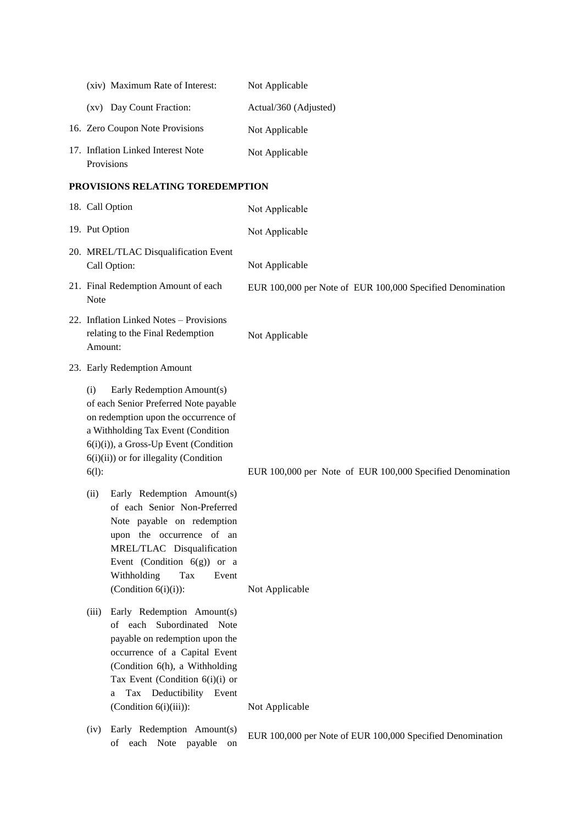| (xiv) Maximum Rate of Interest:                  | Not Applicable        |
|--------------------------------------------------|-----------------------|
| (xv) Day Count Fraction:                         | Actual/360 (Adjusted) |
| 16. Zero Coupon Note Provisions                  | Not Applicable        |
| 17. Inflation Linked Interest Note<br>Provisions | Not Applicable        |

## **PROVISIONS RELATING TOREDEMPTION**

| 18. Call Option                                                                                                                                                                                                                                                            | Not Applicable                                                               |
|----------------------------------------------------------------------------------------------------------------------------------------------------------------------------------------------------------------------------------------------------------------------------|------------------------------------------------------------------------------|
| 19. Put Option                                                                                                                                                                                                                                                             | Not Applicable                                                               |
| 20. MREL/TLAC Disqualification Event<br>Call Option:<br>21. Final Redemption Amount of each                                                                                                                                                                                | Not Applicable<br>EUR 100,000 per Note of EUR 100,000 Specified Denomination |
| Note<br>22. Inflation Linked Notes - Provisions<br>relating to the Final Redemption<br>Amount:                                                                                                                                                                             | Not Applicable                                                               |
| 23. Early Redemption Amount                                                                                                                                                                                                                                                |                                                                              |
| Early Redemption Amount(s)<br>(i)<br>of each Senior Preferred Note payable<br>on redemption upon the occurrence of<br>a Withholding Tax Event (Condition<br>6(i)(i)), a Gross-Up Event (Condition<br>$6(i)(ii)$ or for illegality (Condition<br>$6(1)$ :                   | EUR 100,000 per Note of EUR 100,000 Specified Denomination                   |
| Early Redemption Amount(s)<br>(ii)<br>of each Senior Non-Preferred<br>Note payable on redemption<br>upon the occurrence of an<br>MREL/TLAC Disqualification<br>Event (Condition $6(g)$ ) or a<br>Withholding<br>Tax<br>Event<br>(Condition $6(i)(i)$ ):                    | Not Applicable                                                               |
| Early Redemption Amount(s)<br>(iii)<br>of each Subordinated Note<br>payable on redemption upon the<br>occurrence of a Capital Event<br>(Condition 6(h), a Withholding<br>Tax Event (Condition $6(i)(i)$ or<br>Deductibility Event<br>Tax<br>a<br>$(Condition 6(i)(iii))$ : | Not Applicable                                                               |
| Early Redemption Amount(s)<br>(iv)<br>each Note<br>payable<br>of<br>on                                                                                                                                                                                                     | EUR 100,000 per Note of EUR 100,000 Specified Denomination                   |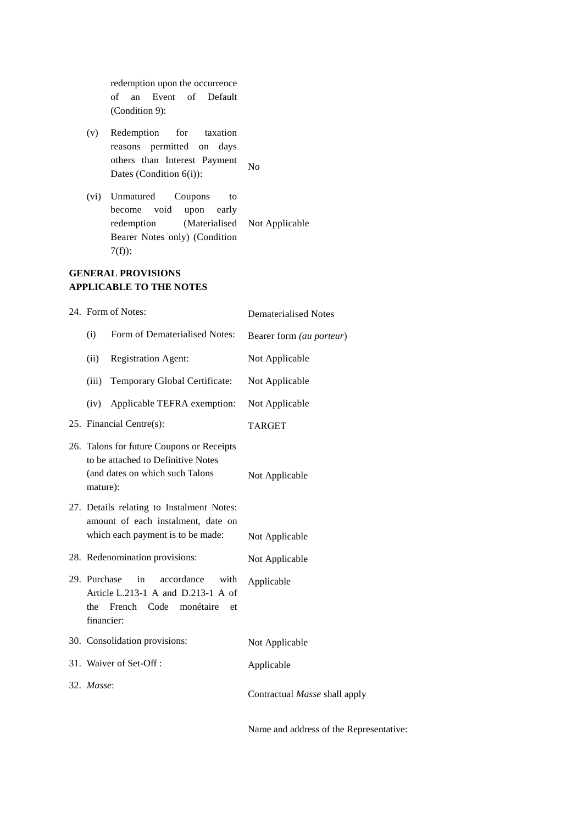redemption upon the occurrence of an Event of Default (Condition 9):

- (v) Redemption for taxation reasons permitted on days others than Interest Payment Dates (Condition 6(i)): No
- (vi) Unmatured Coupons to become void upon early redemption (Materialised Not Applicable Bearer Notes only) (Condition 7(f)):

**GENERAL PROVISIONS APPLICABLE TO THE NOTES**

| 24. Form of Notes:         |                                                                                                                      | <b>Dematerialised Notes</b>   |
|----------------------------|----------------------------------------------------------------------------------------------------------------------|-------------------------------|
| (i)                        | Form of Dematerialised Notes:                                                                                        | Bearer form (au porteur)      |
| (ii)                       | <b>Registration Agent:</b>                                                                                           | Not Applicable                |
| (iii)                      | Temporary Global Certificate:                                                                                        | Not Applicable                |
| (iv)                       | Applicable TEFRA exemption:                                                                                          | Not Applicable                |
|                            | 25. Financial Centre(s):                                                                                             | <b>TARGET</b>                 |
| mature):                   | 26. Talons for future Coupons or Receipts<br>to be attached to Definitive Notes<br>(and dates on which such Talons   | Not Applicable                |
|                            | 27. Details relating to Instalment Notes:<br>amount of each instalment, date on<br>which each payment is to be made: | Not Applicable                |
|                            | 28. Redenomination provisions:                                                                                       | Not Applicable                |
| 29. Purchase<br>financier: | in<br>accordance<br>with<br>Article L.213-1 A and D.213-1 A of<br>the French<br>Code<br>monétaire<br>et              | Applicable                    |
|                            | 30. Consolidation provisions:                                                                                        | Not Applicable                |
|                            | 31. Waiver of Set-Off:                                                                                               | Applicable                    |
| 32. Masse:                 |                                                                                                                      | Contractual Masse shall apply |

Name and address of the Representative: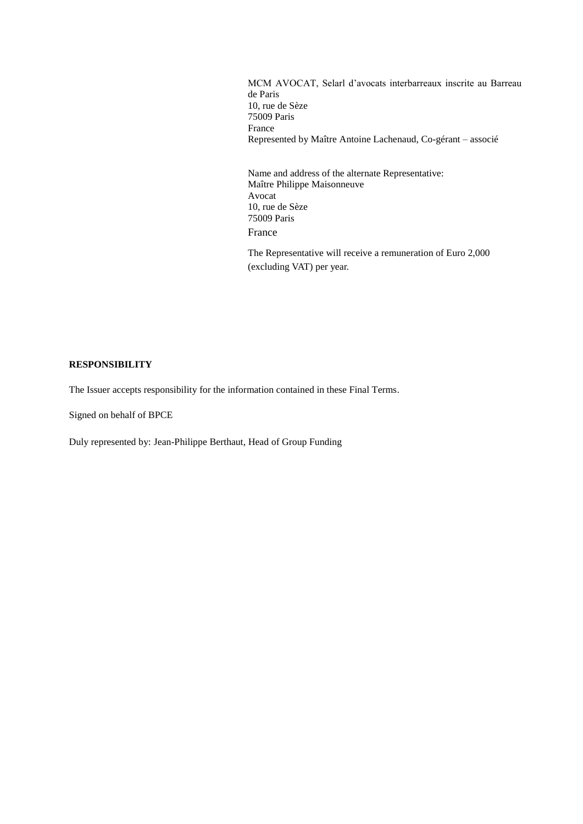MCM AVOCAT, Selarl d'avocats interbarreaux inscrite au Barreau de Paris 10, rue de Sèze 75009 Paris France Represented by Maître Antoine Lachenaud, Co-gérant – associé

Name and address of the alternate Representative: Maître Philippe Maisonneuve Avocat 10, rue de Sèze 75009 Paris France

The Representative will receive a remuneration of Euro 2,000 (excluding VAT) per year.

### **RESPONSIBILITY**

The Issuer accepts responsibility for the information contained in these Final Terms.

Signed on behalf of BPCE

Duly represented by: Jean-Philippe Berthaut, Head of Group Funding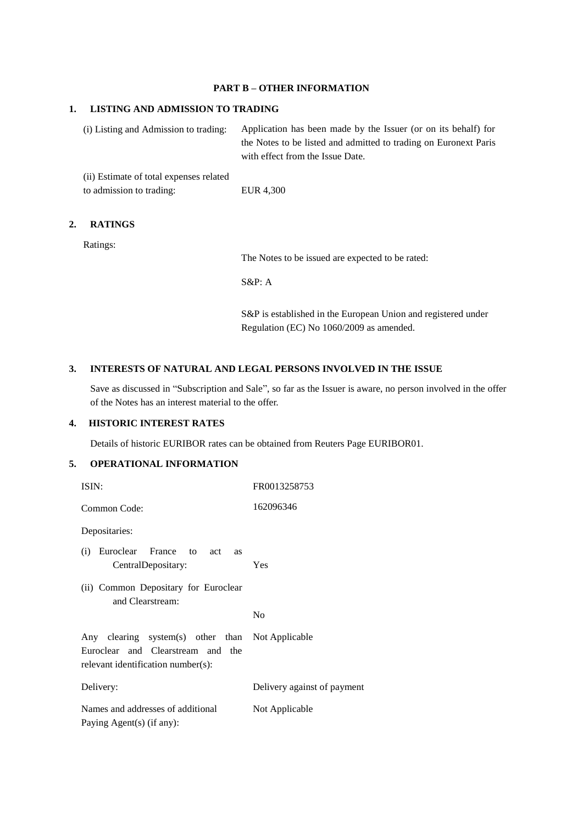### **PART B – OTHER INFORMATION**

### **1. LISTING AND ADMISSION TO TRADING**

(i) Listing and Admission to trading: Application has been made by the Issuer (or on its behalf) for the Notes to be listed and admitted to trading on Euronext Paris with effect from the Issue Date.

(ii) Estimate of total expenses related to admission to trading: EUR 4,300

# **2. RATINGS**

Ratings:

The Notes to be issued are expected to be rated:

S&P: A

S&P is established in the European Union and registered under Regulation (EC) No 1060/2009 as amended.

## **3. INTERESTS OF NATURAL AND LEGAL PERSONS INVOLVED IN THE ISSUE**

Save as discussed in "Subscription and Sale", so far as the Issuer is aware, no person involved in the offer of the Notes has an interest material to the offer.

# **4. HISTORIC INTEREST RATES**

Details of historic EURIBOR rates can be obtained from Reuters Page EURIBOR01.

# **5. OPERATIONAL INFORMATION**

| ISIN:                                                                                                                       | FR0013258753                |
|-----------------------------------------------------------------------------------------------------------------------------|-----------------------------|
| Common Code:                                                                                                                | 162096346                   |
| Depositaries:                                                                                                               |                             |
| Euroclear France to act<br>(i)<br><b>as</b><br>CentralDepositary:                                                           | Yes                         |
| (ii) Common Depositary for Euroclear<br>and Clearstream:                                                                    |                             |
|                                                                                                                             | N <sub>0</sub>              |
| Any clearing system(s) other than Not Applicable<br>Euroclear and Clearstream and the<br>relevant identification number(s): |                             |
| Delivery:                                                                                                                   | Delivery against of payment |
| Names and addresses of additional<br>Paying Agent(s) (if any):                                                              | Not Applicable              |